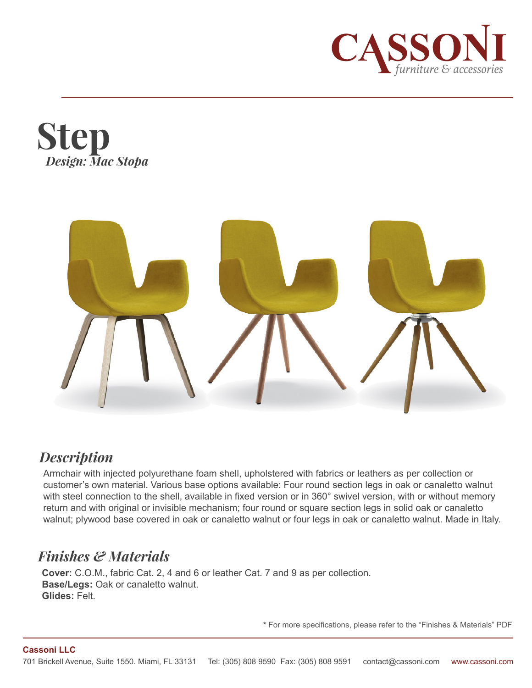





## *Description*

Armchair with injected polyurethane foam shell, upholstered with fabrics or leathers as per collection or customer's own material. Various base options available: Four round section legs in oak or canaletto walnut with steel connection to the shell, available in fixed version or in 360° swivel version, with or without memory return and with original or invisible mechanism; four round or square section legs in solid oak or canaletto walnut; plywood base covered in oak or canaletto walnut or four legs in oak or canaletto walnut. Made in Italy.

## *Finishes & Materials*

**Cover:** C.O.M., fabric Cat. 2, 4 and 6 or leather Cat. 7 and 9 as per collection. **Base/Legs:** Oak or canaletto walnut. **Glides:** Felt.

**\*** For more specifications, please refer to the "Finishes & Materials" PDF